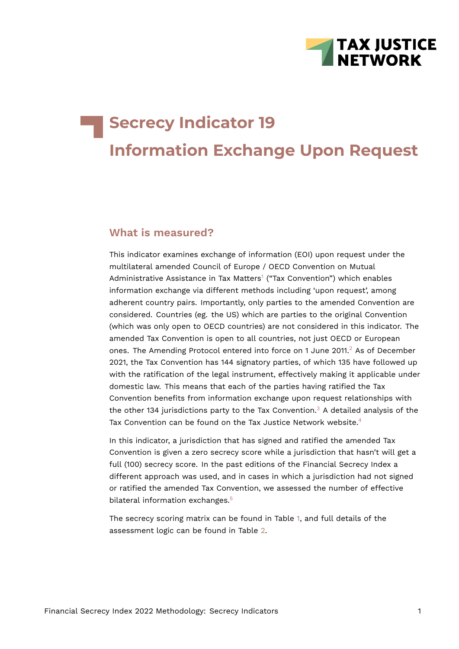

# **Secrecy Indicator 19 Information Exchange Upon Request**

## **What is measured?**

<span id="page-0-0"></span>This indicator examines exchange of information (EOI) upon request under the multilateral amended Council of Europe / OECD Convention on Mutual Administrative Assistance in Tax Matters<sup>[1](#page-6-0)</sup> ("Tax Convention") which enables information exchange via different methods including 'upon request', among adherent country pairs. Importantly, only parties to the amended Convention are considered. Countries (eg. the US) which are parties to the original Convention (which was only open to OECD countries) are not considered in this indicator. The amended Tax Convention is open to all countries, not just OECD or European ones. The Amending Protocol entered into force on 1 June [2](#page-6-1)011. $^2$  As of December 2021, the Tax Convention has 144 signatory parties, of which 135 have followed up with the ratification of the legal instrument, effectively making it applicable under domestic law. This means that each of the parties having ratified the Tax Convention benefits from information exchange upon request relationships with the other 1[3](#page-6-2)4 jurisdictions party to the Tax Convention.<sup>3</sup> A detailed analysis of the Tax Convention can be found on the Tax Justice Network website.<sup>[4](#page-6-3)</sup>

<span id="page-0-3"></span><span id="page-0-2"></span><span id="page-0-1"></span>In this indicator, a jurisdiction that has signed and ratified the amended Tax Convention is given a zero secrecy score while a jurisdiction that hasn't will get a full (100) secrecy score. In the past editions of the Financial Secrecy Index a different approach was used, and in cases in which a jurisdiction had not signed or ratified the amended Tax Convention, we assessed the number of effective bilateral information exchanges.<sup>[5](#page-6-4)</sup>

<span id="page-0-4"></span>The secrecy scoring matrix can be found in Table [1](#page-1-0), and full details of the assessment logic can be found in Table [2.](#page-3-0)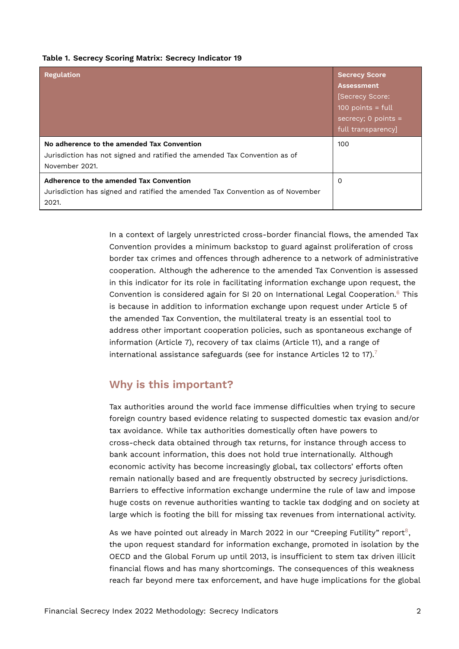#### <span id="page-1-0"></span>**Table 1. Secrecy Scoring Matrix: Secrecy Indicator 19**

| <b>Regulation</b>                                                                                                                         | <b>Secrecy Score</b><br><b>Assessment</b><br>[Secrecy Score:<br>$100$ points = full<br>secrecy; 0 points $=$<br>full transparency] |
|-------------------------------------------------------------------------------------------------------------------------------------------|------------------------------------------------------------------------------------------------------------------------------------|
| No adherence to the amended Tax Convention<br>Jurisdiction has not signed and ratified the amended Tax Convention as of<br>November 2021. | 100                                                                                                                                |
| Adherence to the amended Tax Convention<br>Jurisdiction has signed and ratified the amended Tax Convention as of November<br>2021.        | 0                                                                                                                                  |

<span id="page-1-1"></span>In a context of largely unrestricted cross-border financial flows, the amended Tax Convention provides a minimum backstop to guard against proliferation of cross border tax crimes and offences through adherence to a network of administrative cooperation. Although the adherence to the amended Tax Convention is assessed in this indicator for its role in facilitating information exchange upon request, the Convention is considered again for SI 20 on International Legal Cooperation.[6](#page-6-5) This is because in addition to information exchange upon request under Article 5 of the amended Tax Convention, the multilateral treaty is an essential tool to address other important cooperation policies, such as spontaneous exchange of information (Article 7), recovery of tax claims (Article 11), and a range of international assistance safeguards (see for instance Articles 12 to 1[7](#page-6-6)).<sup>7</sup>

## <span id="page-1-2"></span>**Why is this important?**

Tax authorities around the world face immense difficulties when trying to secure foreign country based evidence relating to suspected domestic tax evasion and/or tax avoidance. While tax authorities domestically often have powers to cross-check data obtained through tax returns, for instance through access to bank account information, this does not hold true internationally. Although economic activity has become increasingly global, tax collectors' efforts often remain nationally based and are frequently obstructed by secrecy jurisdictions. Barriers to effective information exchange undermine the rule of law and impose huge costs on revenue authorities wanting to tackle tax dodging and on society at large which is footing the bill for missing tax revenues from international activity.

<span id="page-1-3"></span>As we have pointed out already in March 2022 in our "Creeping Futility" report<sup>[8](#page-6-7)</sup>, the upon request standard for information exchange, promoted in isolation by the OECD and the Global Forum up until 2013, is insufficient to stem tax driven illicit financial flows and has many shortcomings. The consequences of this weakness reach far beyond mere tax enforcement, and have huge implications for the global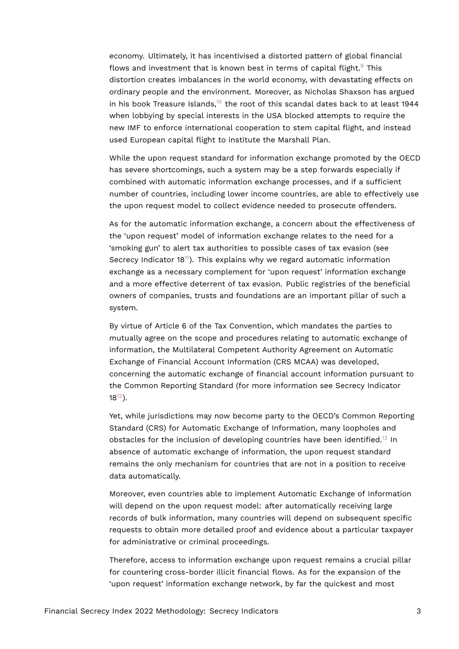<span id="page-2-1"></span><span id="page-2-0"></span>economy. Ultimately, it has incentivised a distorted pattern of global financial flows and investment that is known best in terms of capital flight. $9$  This distortion creates imbalances in the world economy, with devastating effects on ordinary people and the environment. Moreover, as Nicholas Shaxson has argued in his book Treasure Islands, $10$  the root of this scandal dates back to at least 1944 when lobbying by special interests in the USA blocked attempts to require the new IMF to enforce international cooperation to stem capital flight, and instead used European capital flight to institute the Marshall Plan.

While the upon request standard for information exchange promoted by the OECD has severe shortcomings, such a system may be a step forwards especially if combined with automatic information exchange processes, and if a sufficient number of countries, including lower income countries, are able to effectively use the upon request model to collect evidence needed to prosecute offenders.

<span id="page-2-2"></span>As for the automatic information exchange, a concern about the effectiveness of the 'upon request' model of information exchange relates to the need for a 'smoking gun' to alert tax authorities to possible cases of tax evasion (see Secrecy Indicator 18[11](#page-7-2)). This explains why we regard automatic information exchange as a necessary complement for 'upon request' information exchange and a more effective deterrent of tax evasion. Public registries of the beneficial owners of companies, trusts and foundations are an important pillar of such a system.

By virtue of Article 6 of the Tax Convention, which mandates the parties to mutually agree on the scope and procedures relating to automatic exchange of information, the Multilateral Competent Authority Agreement on Automatic Exchange of Financial Account Information (CRS MCAA) was developed, concerning the automatic exchange of financial account information pursuant to the Common Reporting Standard (for more information see Secrecy Indicator  $18^{12}$  $18^{12}$  $18^{12}$ ).

<span id="page-2-4"></span><span id="page-2-3"></span>Yet, while jurisdictions may now become party to the OECD's Common Reporting Standard (CRS) for Automatic Exchange of Information, many loopholes and obstacles for the inclusion of developing countries have been identified.<sup>[13](#page-7-4)</sup> In absence of automatic exchange of information, the upon request standard remains the only mechanism for countries that are not in a position to receive data automatically.

Moreover, even countries able to implement Automatic Exchange of Information will depend on the upon request model: after automatically receiving large records of bulk information, many countries will depend on subsequent specific requests to obtain more detailed proof and evidence about a particular taxpayer for administrative or criminal proceedings.

Therefore, access to information exchange upon request remains a crucial pillar for countering cross-border illicit financial flows. As for the expansion of the 'upon request' information exchange network, by far the quickest and most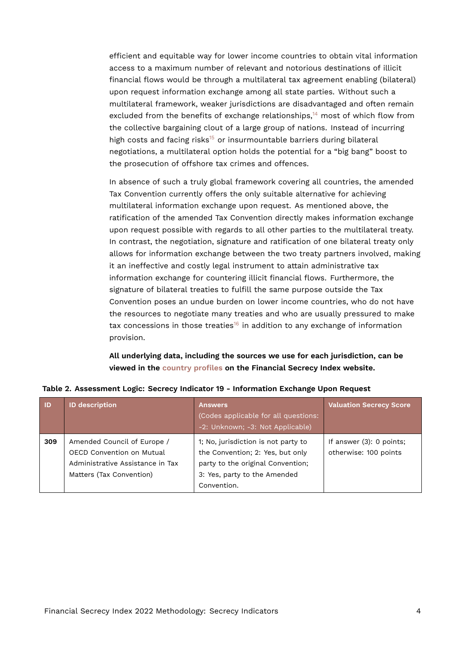<span id="page-3-1"></span>efficient and equitable way for lower income countries to obtain vital information access to a maximum number of relevant and notorious destinations of illicit financial flows would be through a multilateral tax agreement enabling (bilateral) upon request information exchange among all state parties. Without such a multilateral framework, weaker jurisdictions are disadvantaged and often remain excluded from the benefits of exchange relationships, $14$  most of which flow from the collective bargaining clout of a large group of nations. Instead of incurring high costs and facing risks<sup>[15](#page-7-6)</sup> or insurmountable barriers during bilateral negotiations, a multilateral option holds the potential for a "big bang" boost to the prosecution of offshore tax crimes and offences.

<span id="page-3-2"></span>In absence of such a truly global framework covering all countries, the amended Tax Convention currently offers the only suitable alternative for achieving multilateral information exchange upon request. As mentioned above, the ratification of the amended Tax Convention directly makes information exchange upon request possible with regards to all other parties to the multilateral treaty. In contrast, the negotiation, signature and ratification of one bilateral treaty only allows for information exchange between the two treaty partners involved, making it an ineffective and costly legal instrument to attain administrative tax information exchange for countering illicit financial flows. Furthermore, the signature of bilateral treaties to fulfill the same purpose outside the Tax Convention poses an undue burden on lower income countries, who do not have the resources to negotiate many treaties and who are usually pressured to make tax concessions in those treaties<sup>[16](#page-7-7)</sup> in addition to any exchange of information provision.

<span id="page-3-3"></span><span id="page-3-0"></span>**All underlying data, including the sources we use for each jurisdiction, can be viewed in the [country profiles](https://fsi.taxjustice.net/country-detail) on the Financial Secrecy Index website.**

| <b>ID</b> | <b>ID description</b>                                                                                                    | <b>Answers</b><br>(Codes applicable for all questions:<br>-2: Unknown; -3: Not Applicable)                                                                  | <b>Valuation Secrecy Score</b>                    |
|-----------|--------------------------------------------------------------------------------------------------------------------------|-------------------------------------------------------------------------------------------------------------------------------------------------------------|---------------------------------------------------|
| 309       | Amended Council of Europe /<br>OECD Convention on Mutual<br>Administrative Assistance in Tax<br>Matters (Tax Convention) | 1; No, jurisdiction is not party to<br>the Convention; 2: Yes, but only<br>party to the original Convention;<br>3: Yes, party to the Amended<br>Convention. | If answer (3): 0 points;<br>otherwise: 100 points |

**Table 2. Assessment Logic: Secrecy Indicator 19 - Information Exchange Upon Request**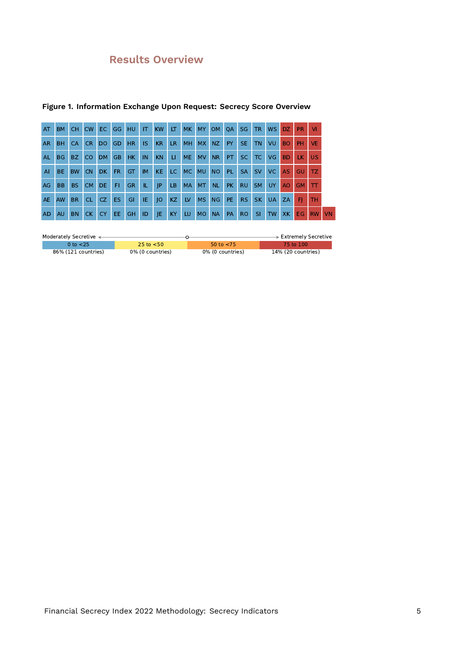## **Results Overview**

| AT           | <b>BM</b> | <b>CH</b> | <b>CW</b> | EC.       | GG        | HU        | IT.       | <b>KW</b> | LT.       | MK        | <b>MY</b> | OM        | <b>OA</b> | <b>SG</b> | <b>TR</b> | <b>WS</b> | DZ.            | <b>PR</b> | <b>VI</b> |    |
|--------------|-----------|-----------|-----------|-----------|-----------|-----------|-----------|-----------|-----------|-----------|-----------|-----------|-----------|-----------|-----------|-----------|----------------|-----------|-----------|----|
| <b>AR</b>    | <b>BH</b> | CA        | <b>CR</b> | <b>DO</b> | GD        | <b>HR</b> | <b>IS</b> | <b>KR</b> | <b>LR</b> | <b>MH</b> | <b>MX</b> | NZ.       | PY.       | SE.       | <b>TN</b> | VU        | <b>BO</b>      | <b>PH</b> | <b>VE</b> |    |
| <b>AL</b>    | <b>BG</b> | BZ        | <b>CO</b> | <b>DM</b> | <b>GB</b> | <b>HK</b> | IN.       | <b>KN</b> | п         | <b>ME</b> | <b>MV</b> | <b>NR</b> | PT.       | SC.       | TC.       | VG.       | <b>BD</b>      | <b>LK</b> | <b>US</b> |    |
| $\mathsf{A}$ | <b>BE</b> | <b>BW</b> | <b>CN</b> | <b>DK</b> | FR.       | GT        | <b>IM</b> | <b>KE</b> | LC.       | <b>MC</b> | <b>MU</b> | <b>NO</b> | <b>PL</b> | <b>SA</b> | <b>SV</b> | VC.       | <b>AS</b>      | GU        | TZ.       |    |
| AG           | <b>BB</b> | <b>BS</b> | <b>CM</b> | DE.       | FI.       | <b>GR</b> | IL.       | JP        | <b>LB</b> | <b>MA</b> | <b>MT</b> | <b>NL</b> | <b>PK</b> | <b>RU</b> | <b>SM</b> | UY.       | A <sub>O</sub> | <b>GM</b> | П         |    |
| <b>AE</b>    | AW        | <b>BR</b> | <b>CL</b> | CZ.       | <b>ES</b> | GI        | IE        | O         | <b>KZ</b> | LV        | <b>MS</b> | NG        | PE.       | RS.       | <b>SK</b> | <b>UA</b> | ZA             | FI        | TН        |    |
| <b>AD</b>    | AU        | <b>BN</b> | CK.       | <b>CY</b> | EE.       | <b>GH</b> | ID        | JE        | KY        | LU.       | <b>MO</b> | <b>NA</b> | <b>PA</b> | RO.       | <b>SI</b> | <b>TW</b> | <b>XK</b>      | EG        | <b>RW</b> | VN |

### **Figure 1. Information Exchange Upon Request: Secrecy Score Overview**

| Moderately Secretive < |                  |                  | $\blacktriangleright$ Extremely Secretive |
|------------------------|------------------|------------------|-------------------------------------------|
| 0 to <25               | 25 to $<$ 50     | 50 to $< 75$     | 75 to 100                                 |
| 86% (121 countries)    | 0% (0 countries) | 0% (0 countries) | 14% (20 countries)                        |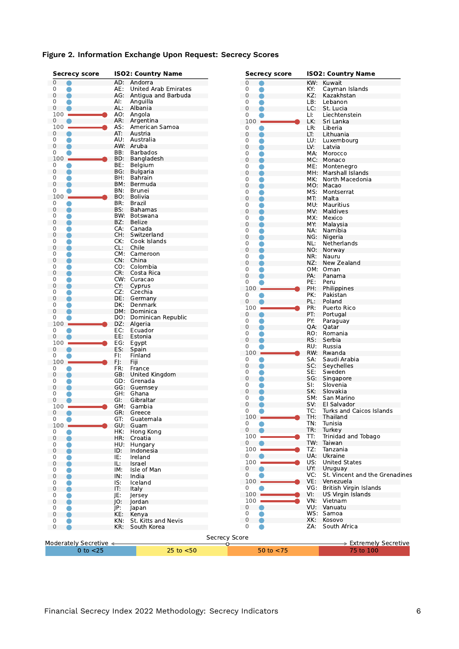| <b>Secrecy score</b>   |            | <b>ISO2: Country Name</b>   |                            | <b>Secrecy score</b> |            | <b>ISO2: Country Name</b>      |
|------------------------|------------|-----------------------------|----------------------------|----------------------|------------|--------------------------------|
| $\mathbf{0}$           |            | AD: Andorra                 | $\mathbf{0}$               |                      | KW:        | Kuwait                         |
| 0                      | AE:        | <b>United Arab Emirates</b> | 0                          |                      | KY:        | Cayman Islands                 |
| 0                      |            | AG: Antigua and Barbuda     | $\mathbf{0}$               |                      | KZ:        | Kazakhstan                     |
| 0                      | AI:        | Anguilla                    | 0                          |                      | LB:        | Lebanon                        |
| 0                      |            | AL: Albania                 | $\mathbf 0$                |                      | LC:        | St. Lucia                      |
| 100                    |            | AO: Angola                  | 0                          |                      | LI:        | Liechtenstein                  |
| 0                      | AR:        | Argentina                   | 100                        |                      | LK.        | Sri Lanka                      |
| 100                    |            | AS: American Samoa          | 0                          |                      | LR:        | Liberia                        |
| 0                      | AT:        | Austria                     | 0                          |                      | LT:        | Lithuania                      |
| 0                      |            | AU: Australia               | 0                          |                      | LU:        | Luxembourg                     |
| 0                      |            | AW: Aruba                   | $\mathbf{0}$               |                      | LV:        | Latvia                         |
| 0                      | BB:        | <b>Barbados</b>             | 0                          |                      |            | MA: Morocco                    |
| 100                    |            | BD: Bangladesh              | $\mathbf 0$                |                      | MC:        | Monaco                         |
| 0                      | BE:        | Belgium                     | 0                          |                      | ME:        | Montenegro                     |
| 0                      | BG:        | <b>Bulgaria</b>             | $\mathbf 0$                |                      |            | MH: Marshall Islands           |
| 0                      | BH:        | Bahrain                     | 0                          |                      | MK:        | North Macedonia                |
| $\mathbf{0}$           |            | BM: Bermuda                 | $\mathbf 0$                |                      |            | MO: Macao                      |
| 0                      | BN:        | Brunei                      | 0                          |                      |            | MS: Montserrat                 |
| 100                    |            | BO: Bolivia                 | $\mathbf 0$                |                      | MT.        | Malta                          |
| 0                      | BR:        | Brazil                      | 0                          |                      |            | MU: Mauritius                  |
| 0                      | BS:        | Bahamas                     | $\mathbf 0$                |                      | MV:        | Maldives                       |
| 0                      |            | BW: Botswana                |                            |                      |            |                                |
| 0                      | BZ:        | Belize                      | $\mathbf 0$<br>$\mathbf 0$ |                      | MX:        | Mexico                         |
| 0                      |            | CA: Canada                  |                            |                      | MY:        | Malaysia                       |
| $\mathbf 0$            | CH:        | Switzerland                 | 0                          |                      | NA:        | Namibia                        |
| 0                      |            | CK: Cook Islands            | $\mathbf 0$                |                      |            | NG: Nigeria                    |
| 0                      | CL:        | Chile                       | 0                          |                      | NL:        | Netherlands                    |
| 0                      |            | CM: Cameroon                | $\mathbf{0}$               |                      |            | NO: Norway                     |
| 0                      |            | CN: China                   | 0                          |                      | NR:        | Nauru                          |
| 0                      |            | CO: Colombia                | $\mathbf{0}$               |                      | NZ:        | New Zealand                    |
| 0                      |            | CR: Costa Rica              | $\mathbf 0$                |                      |            | OM: Oman                       |
| 0                      |            | CW: Curacao                 | 0                          |                      | PA:        | Panama                         |
| $\mathbf 0$            | CY:        | Cyprus                      | 0                          |                      | PE:        | Peru                           |
| 0                      |            | CZ: Czechia                 | 100                        |                      | PH:        | Philippines                    |
| 0                      |            | DE: Germany                 | 0                          |                      | PK:        | Pakistan                       |
| 0                      | DK:        | Denmark                     | 0                          |                      | PL:        | Poland                         |
| 0                      |            | DM: Dominica                | 100                        |                      | PR:        | Puerto Rico                    |
|                        |            |                             | $\mathbf 0$                |                      | PT:        | Portugal                       |
| 0                      |            | DO: Dominican Republic      | 0                          |                      | PY:        | Paraguay                       |
| 100                    |            | DZ: Algeria                 | $\mathbf 0$                |                      | QA:        | Qatar                          |
| 0                      | EC:<br>EE: | Ecuador                     | 0                          |                      | RO:        | Romania                        |
| 0                      |            | Estonia                     | 0                          |                      | RS:        | Serbia                         |
| 100                    | EG:        | Egypt                       | 0                          |                      | RU:        | Russia                         |
| 0                      | ES:        | Spain                       | 100                        |                      |            | RW: Rwanda                     |
| 0                      | FI:        | Finland                     | 0                          |                      | SA:        | Saudi Arabia                   |
| 100                    | FJ:        | Fiji                        | $\mathbf{0}$               |                      | SC:        | Seychelles                     |
| 0                      | FR:        | France                      | $\mathbf 0$                |                      | SE:        | Sweden                         |
| 0                      |            | GB: United Kingdom          | $\mathbf 0$                |                      | SG:        | Singapore                      |
| 0                      |            | GD: Grenada                 | 0                          |                      | SI:        | Slovenia                       |
| $\mathbf 0$            |            | GG: Guernsey                | $\mathbf 0$                |                      | SK:        | Slovakia                       |
| 0                      |            | GH: Ghana                   | 0                          |                      | SM:        | San Marino                     |
| 0                      | GI:        | Gibraltar                   | 0                          |                      | SV:        | El Salvador                    |
| 100                    |            | GM: Gambia                  | 0                          |                      | TC:        | Turks and Caicos Islands       |
| 0                      |            | GR: Greece                  | 100                        |                      |            | Thailand                       |
| 0                      | GT:        | Guatemala                   | 0                          |                      | TH:<br>TN: |                                |
| 100                    | GU:        | Guam                        |                            |                      |            | Tunisia                        |
| 0                      | HK:        | Hong Kong                   | 0                          |                      | TR:        | Turkey                         |
| $\mathbf 0$            | HR:        | Croatia                     | 100                        |                      | TT:        | Trinidad and Tobago            |
| 0                      | HU:        | Hungary                     | 0                          |                      | TW:        | Taiwan                         |
| 0                      | ID:        | Indonesia                   | 100                        |                      | TZ:        | Tanzania                       |
| 0                      | IE:        | Ireland                     | 0                          |                      | UA:        | Ukraine                        |
| 0                      | IL:        | Israel                      | 100                        |                      | US:        | <b>United States</b>           |
| 0                      | IM:        | Isle of Man                 | 0                          |                      | UY:        | Uruguay                        |
| 0                      | IN:        | India                       | 0                          |                      | VC:        | St. Vincent and the Grenadines |
| 0                      | IS:        | Iceland                     | 100                        |                      | VE:        | Venezuela                      |
| 0                      | IT:        | Italy                       | 0                          |                      | VG:        | British Virgin Islands         |
| 0                      | JE:        | Jersey                      | $100 -$                    |                      | VI:        | US Virgin Islands              |
| 0                      | IO:        | Jordan                      | 100                        |                      | VN:        | Vietnam                        |
| 0                      | JP:        | Japan                       | 0                          |                      | VU.        | Vanuatu                        |
| 0                      | KE:        | Kenya                       | $\mathbf 0$                |                      |            | WS: Samoa                      |
| 0                      | KN:        | St. Kitts and Nevis         | $\mathbf 0$                |                      | XK:        | Kosovo                         |
| $\mathbf{0}$           | KR:        | South Korea                 | $\mathbf{0}$               |                      | ZA:        | South Africa                   |
|                        |            |                             |                            |                      |            |                                |
|                        |            |                             | <b>Secrecy Score</b>       |                      |            |                                |
| Moderately Secretive ← |            |                             |                            |                      |            | > Extremely Secretive          |
| $0$ to $<$ 25          |            | $25$ to $< 50$              |                            | 50 to $<$ 75         |            | 75 to 100                      |

### **Figure 2. Information Exchange Upon Request: Secrecy Scores**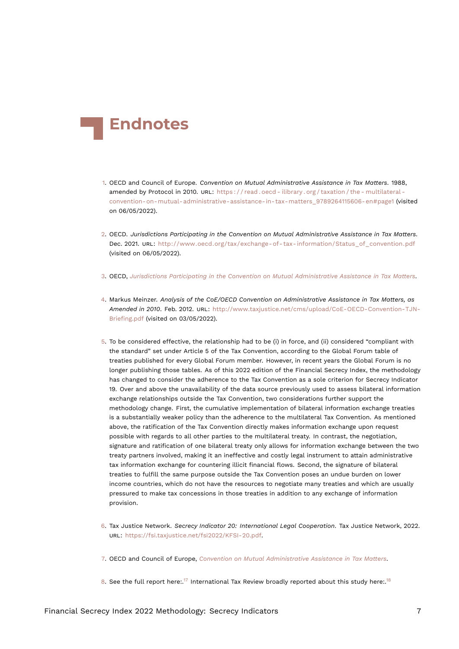<span id="page-6-12"></span>

- <span id="page-6-9"></span><span id="page-6-0"></span>[1.](#page-0-0) OECD and Council of Europe. *Convention on Mutual Administrative Assistance in Tax Matters*. 1988, amended by Protocol in 2010. URL: https://read.oecd-ilibrary.org/taxation/the-multilateral[convention-on-mutual-administrative-assistance-in-tax-matters\\_9789264115606-en#page1](https://read.oecd-ilibrary.org/taxation/the-multilateral-convention-on-mutual-administrative-assistance-in-tax-matters_9789264115606-en#page1) (visited on 06/05/2022).
- <span id="page-6-8"></span><span id="page-6-1"></span>[2.](#page-0-1) OECD. *Jurisdictions Participating in the Convention on Mutual Administrative Assistance in Tax Matters*. Dec. 2021. URL: [http://www.oecd.org/tax/exchange-of-tax-information/Status\\_of\\_convention.pdf](http://www.oecd.org/tax/exchange-of-tax-information/Status_of_convention.pdf) (visited on 06/05/2022).
- <span id="page-6-2"></span>[3.](#page-0-2) OECD, *[Jurisdictions Participating in the Convention on Mutual Administrative Assistance in Tax Matters](#page-6-8)*.
- <span id="page-6-3"></span>[4.](#page-0-3) Markus Meinzer. *Analysis of the CoE/OECD Convention on Administrative Assistance in Tax Matters, as Amended in 2010*. Feb. 2012. URL: [http://www.taxjustice.net/cms/upload/CoE-OECD-Convention-TJN-](http://www.taxjustice.net/cms/upload/CoE-OECD-Convention-TJN-Briefing.pdf)[Briefing.pdf](http://www.taxjustice.net/cms/upload/CoE-OECD-Convention-TJN-Briefing.pdf) (visited on 03/05/2022).
- <span id="page-6-4"></span>[5.](#page-0-4) To be considered effective, the relationship had to be (i) in force, and (ii) considered "compliant with the standard" set under Article 5 of the Tax Convention, according to the Global Forum table of treaties published for every Global Forum member. However, in recent years the Global Forum is no longer publishing those tables. As of this 2022 edition of the Financial Secrecy Index, the methodology has changed to consider the adherence to the Tax Convention as a sole criterion for Secrecy Indicator 19. Over and above the unavailability of the data source previously used to assess bilateral information exchange relationships outside the Tax Convention, two considerations further support the methodology change. First, the cumulative implementation of bilateral information exchange treaties is a substantially weaker policy than the adherence to the multilateral Tax Convention. As mentioned above, the ratification of the Tax Convention directly makes information exchange upon request possible with regards to all other parties to the multilateral treaty. In contrast, the negotiation, signature and ratification of one bilateral treaty only allows for information exchange between the two treaty partners involved, making it an ineffective and costly legal instrument to attain administrative tax information exchange for countering illicit financial flows. Second, the signature of bilateral treaties to fulfill the same purpose outside the Tax Convention poses an undue burden on lower income countries, which do not have the resources to negotiate many treaties and which are usually pressured to make tax concessions in those treaties in addition to any exchange of information provision.
- <span id="page-6-5"></span>[6.](#page-1-1) Tax Justice Network. *Secrecy Indicator 20: International Legal Cooperation*. Tax Justice Network, 2022. URL: <https://fsi.taxjustice.net/fsi2022/KFSI-20.pdf>.
- <span id="page-6-6"></span>[7.](#page-1-2) OECD and Council of Europe, *[Convention on Mutual Administrative Assistance in Tax Matters](#page-6-9)*.
- <span id="page-6-11"></span><span id="page-6-10"></span><span id="page-6-7"></span>[8.](#page-1-3) See the full report here:.<sup>[17](#page-7-8)</sup> International Tax Review broadly reported about this study here:.<sup>[18](#page-7-9)</sup>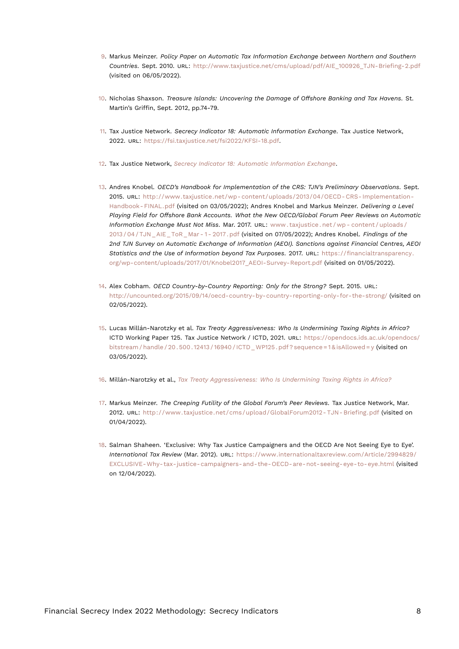- <span id="page-7-12"></span><span id="page-7-0"></span>[9.](#page-2-0) Markus Meinzer. *Policy Paper on Automatic Tax Information Exchange between Northern and Southern Countries*. Sept. 2010. URL: [http://www.taxjustice.net/cms/upload/pdf/AIE\\_100926\\_TJN-Briefing-2.pdf](http://www.taxjustice.net/cms/upload/pdf/AIE_100926_TJN-Briefing-2.pdf) (visited on 06/05/2022).
- <span id="page-7-1"></span>[10.](#page-2-1) Nicholas Shaxson. *Treasure Islands: Uncovering the Damage of Offshore Banking and Tax Havens*. St. Martin's Griffin, Sept. 2012, pp.74-79.
- <span id="page-7-10"></span><span id="page-7-2"></span>[11.](#page-2-2) Tax Justice Network. *Secrecy Indicator 18: Automatic Information Exchange*. Tax Justice Network, 2022. URL: <https://fsi.taxjustice.net/fsi2022/KFSI-18.pdf>.
- <span id="page-7-3"></span>[12.](#page-2-3) Tax Justice Network, *[Secrecy Indicator 18: Automatic Information Exchange](#page-7-10)*.
- <span id="page-7-4"></span>[13.](#page-2-4) Andres Knobel. *OECD's Handbook for Implementation of the CRS: TJN's Preliminary Observations*. Sept. 2015. URL: [http://www.taxjustice.net/wp- content/uploads/2013/04/OECD- CRS- Implementation-](http://www.taxjustice.net/wp-content/uploads/2013/04/OECD-CRS-Implementation-Handbook-FINAL.pdf)[Handbook- FINAL.pdf](http://www.taxjustice.net/wp-content/uploads/2013/04/OECD-CRS-Implementation-Handbook-FINAL.pdf) (visited on 03/05/2022); Andres Knobel and Markus Meinzer. *Delivering a Level Playing Field for Offshore Bank Accounts. What the New OECD/Global Forum Peer Reviews on Automatic Information Exchange Must Not Miss*. Mar. 2017. URL: [www . taxjustice . net / wp - content / uploads /](www.taxjustice.net/wp-content/uploads/2013/04/TJN_AIE_ToR_Mar-1-2017.pdf) [2013 / 04 / TJN \\_ AIE \\_ ToR \\_ Mar - 1 - 2017 . pdf](www.taxjustice.net/wp-content/uploads/2013/04/TJN_AIE_ToR_Mar-1-2017.pdf) (visited on 07/05/2022); Andres Knobel. *Findings of the 2nd TJN Survey on Automatic Exchange of Information (AEOI). Sanctions against Financial Centres, AEOI Statistics and the Use of Information beyond Tax Purposes*. 2017. URL: [https://financialtransparency.](https://financialtransparency.org/wp-content/uploads/2017/01/Knobel2017_AEOI-Survey-Report.pdf) [org/wp-content/uploads/2017/01/Knobel2017\\_AEOI-Survey-Report.pdf](https://financialtransparency.org/wp-content/uploads/2017/01/Knobel2017_AEOI-Survey-Report.pdf) (visited on 01/05/2022).
- <span id="page-7-5"></span>[14.](#page-3-1) Alex Cobham. *OECD Country-by-Country Reporting: Only for the Strong?* Sept. 2015. URL: <http://uncounted.org/2015/09/14/oecd-country-by-country-reporting-only-for-the-strong/> (visited on 02/05/2022).
- <span id="page-7-11"></span><span id="page-7-6"></span>[15.](#page-3-2) Lucas Millán-Narotzky et al. *Tax Treaty Aggressiveness: Who Is Undermining Taxing Rights in Africa?* ICTD Working Paper 125. Tax Justice Network / ICTD, 2021. URL: [https://opendocs.ids.ac.uk/opendocs/](https://opendocs.ids.ac.uk/opendocs/bitstream/handle/20.500.12413/16940/ICTD_WP125.pdf?sequence=1&isAllowed=y) bitstream / handle / 20.500.12413 / 16940 / ICTD WP125. pdf ? sequence = 1 & isAllowed = y (visited on 03/05/2022).
- <span id="page-7-7"></span>[16.](#page-3-3) Millán-Narotzky et al., *[Tax Treaty Aggressiveness: Who Is Undermining Taxing Rights in Africa?](#page-7-11)*
- <span id="page-7-8"></span>[17.](#page-6-10) Markus Meinzer. *The Creeping Futility of the Global Forum's Peer Reviews*. Tax Justice Network, Mar. 2012. URL: http://www.taxjustice.net/cms/upload/GlobalForum2012-TJN-Briefing.pdf (visited on 01/04/2022).
- <span id="page-7-9"></span>[18.](#page-6-11) Salman Shaheen. 'Exclusive: Why Tax Justice Campaigners and the OECD Are Not Seeing Eye to Eye'. *International Tax Review* (Mar. 2012). URL: [https://www.internationaltaxreview.com/Article/2994829/](https://www.internationaltaxreview.com/Article/2994829/EXCLUSIVE-Why-tax-justice-campaigners-and-the-OECD-are-not-seeing-eye-to-eye.html) [EXCLUSIVE-Why-tax-justice-campaigners-and-the-OECD-are-not-seeing-eye-to-eye.html](https://www.internationaltaxreview.com/Article/2994829/EXCLUSIVE-Why-tax-justice-campaigners-and-the-OECD-are-not-seeing-eye-to-eye.html) (visited on 12/04/2022).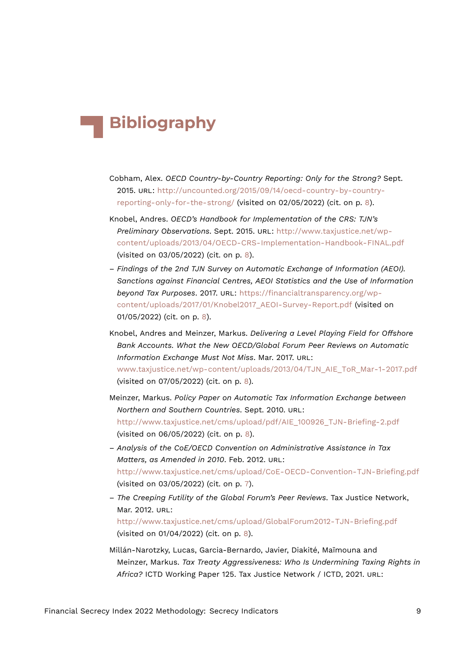## **Bibliography**

- Cobham, Alex. *OECD Country-by-Country Reporting: Only for the Strong?* Sept. 2015. URL: [http://uncounted.org/2015/09/14/oecd-country-by-country](http://uncounted.org/2015/09/14/oecd-country-by-country-reporting-only-for-the-strong/)[reporting-only-for-the-strong/](http://uncounted.org/2015/09/14/oecd-country-by-country-reporting-only-for-the-strong/) (visited on 02/05/2022) (cit. on p. [8](#page-7-12)).
- Knobel, Andres. *OECD's Handbook for Implementation of the CRS: TJN's Preliminary Observations*. Sept. 2015. URL: [http://www.taxjustice.net/wp](http://www.taxjustice.net/wp-content/uploads/2013/04/OECD-CRS-Implementation-Handbook-FINAL.pdf)[content/uploads/2013/04/OECD-CRS-Implementation-Handbook-FINAL.pdf](http://www.taxjustice.net/wp-content/uploads/2013/04/OECD-CRS-Implementation-Handbook-FINAL.pdf) (visited on 03/05/2022) (cit. on p. [8\)](#page-7-12).
- *Findings of the 2nd TJN Survey on Automatic Exchange of Information (AEOI). Sanctions against Financial Centres, AEOI Statistics and the Use of Information beyond Tax Purposes*. 2017. URL: [https://financialtransparency.org/wp](https://financialtransparency.org/wp-content/uploads/2017/01/Knobel2017_AEOI-Survey-Report.pdf)[content/uploads/2017/01/Knobel2017\\_AEOI-Survey-Report.pdf](https://financialtransparency.org/wp-content/uploads/2017/01/Knobel2017_AEOI-Survey-Report.pdf) (visited on 01/05/2022) (cit. on p. [8\)](#page-7-12).
- Knobel, Andres and Meinzer, Markus. *Delivering a Level Playing Field for Offshore Bank Accounts. What the New OECD/Global Forum Peer Reviews on Automatic Information Exchange Must Not Miss*. Mar. 2017. URL: [www.taxjustice.net/wp-content/uploads/2013/04/TJN\\_AIE\\_ToR\\_Mar-1-2017.pdf](www.taxjustice.net/wp-content/uploads/2013/04/TJN_AIE_ToR_Mar-1-2017.pdf) (visited on 07/05/2022) (cit. on p. [8\)](#page-7-12).
- Meinzer, Markus. *Policy Paper on Automatic Tax Information Exchange between Northern and Southern Countries*. Sept. 2010. URL: [http://www.taxjustice.net/cms/upload/pdf/AIE\\_100926\\_TJN-Briefing-2.pdf](http://www.taxjustice.net/cms/upload/pdf/AIE_100926_TJN-Briefing-2.pdf) (visited on 06/05/2022) (cit. on p. [8\)](#page-7-12).
- *Analysis of the CoE/OECD Convention on Administrative Assistance in Tax Matters, as Amended in 2010*. Feb. 2012. URL: <http://www.taxjustice.net/cms/upload/CoE-OECD-Convention-TJN-Briefing.pdf> (visited on 03/05/2022) (cit. on p. [7\)](#page-6-12).
- *The Creeping Futility of the Global Forum's Peer Reviews*. Tax Justice Network, Mar. 2012. URL: <http://www.taxjustice.net/cms/upload/GlobalForum2012-TJN-Briefing.pdf> (visited on 01/04/2022) (cit. on p. [8](#page-7-12)).
- Millán-Narotzky, Lucas, Garcia-Bernardo, Javier, Diakité, Maïmouna and Meinzer, Markus. *Tax Treaty Aggressiveness: Who Is Undermining Taxing Rights in Africa?* ICTD Working Paper 125. Tax Justice Network / ICTD, 2021. URL: